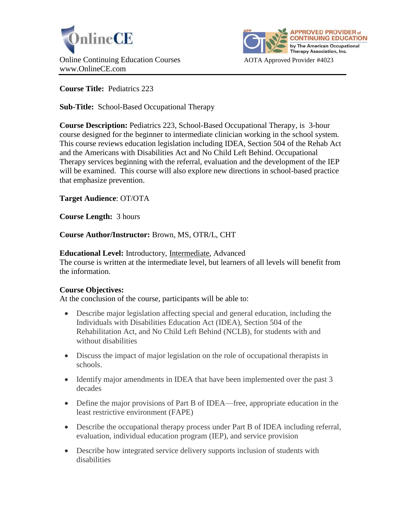



**Course Title:** Pediatrics 223

**Sub-Title:** School-Based Occupational Therapy

**Course Description:** Pediatrics 223, School-Based Occupational Therapy, is 3-hour course designed for the beginner to intermediate clinician working in the school system. This course reviews education legislation including IDEA, Section 504 of the Rehab Act and the Americans with Disabilities Act and No Child Left Behind. Occupational Therapy services beginning with the referral, evaluation and the development of the IEP will be examined. This course will also explore new directions in school-based practice that emphasize prevention.

**Target Audience**: OT/OTA

**Course Length:** 3 hours

**Course Author/Instructor:** Brown, MS, OTR/L, CHT

**Educational Level:** Introductory, Intermediate, Advanced

The course is written at the intermediate level, but learners of all levels will benefit from the information.

# **Course Objectives:**

At the conclusion of the course, participants will be able to:

- Describe major legislation affecting special and general education, including the Individuals with Disabilities Education Act (IDEA), Section 504 of the Rehabilitation Act, and No Child Left Behind (NCLB), for students with and without disabilities
- Discuss the impact of major legislation on the role of occupational therapists in schools.
- Identify major amendments in IDEA that have been implemented over the past 3 decades
- Define the major provisions of Part B of IDEA—free, appropriate education in the least restrictive environment (FAPE)
- Describe the occupational therapy process under Part B of IDEA including referral, evaluation, individual education program (IEP), and service provision
- Describe how integrated service delivery supports inclusion of students with disabilities